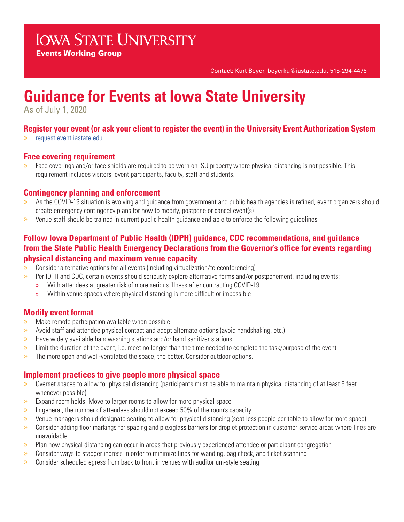# **IOWA STATE UNIVERSITY**

Events Working Group

Contact: Kurt Beyer, beyerku@iastate.edu, 515-294-4476

# **Guidance for Events at Iowa State University**

As of July 1, 2020

# **Register your event (or ask your client to register the event) in the University Event Authorization System**

» request.event.iastate.edu

# **Face covering requirement**

» Face coverings and/or face shields are required to be worn on ISU property where physical distancing is not possible. This requirement includes visitors, event participants, faculty, staff and students.

# **Contingency planning and enforcement**

- » As the COVID-19 situation is evolving and guidance from government and public health agencies is refined, event organizers should create emergency contingency plans for how to modify, postpone or cancel event(s)
- » Venue staff should be trained in current public health guidance and able to enforce the following guidelines

# **Follow Iowa Department of Public Health (IDPH) guidance, CDC recommendations, and guidance from the State Public Health Emergency Declarations from the Governor's office for events regarding physical distancing and maximum venue capacity**

- » Consider alternative options for all events (including virtualization/teleconferencing)
- $\gg$  Per IDPH and CDC, certain events should seriously explore alternative forms and/or postponement, including events:
	- » With attendees at greater risk of more serious illness after contracting COVID-19
	- » Within venue spaces where physical distancing is more difficult or impossible

# **Modify event format**

- » Make remote participation available when possible
- » Avoid staff and attendee physical contact and adopt alternate options (avoid handshaking, etc.)
- » Have widely available handwashing stations and/or hand sanitizer stations
- » Limit the duration of the event, i.e. meet no longer than the time needed to complete the task/purpose of the event
- $\gg$  The more open and well-ventilated the space, the better. Consider outdoor options.

# **Implement practices to give people more physical space**

- » Overset spaces to allow for physical distancing (participants must be able to maintain physical distancing of at least 6 feet whenever possible)
- » Expand room holds: Move to larger rooms to allow for more physical space
- » In general, the number of attendees should not exceed 50% of the room's capacity
- » Venue managers should designate seating to allow for physical distancing (seat less people per table to allow for more space)
- » Consider adding floor markings for spacing and plexiglass barriers for droplet protection in customer service areas where lines are unavoidable
- » Plan how physical distancing can occur in areas that previously experienced attendee or participant congregation
- » Consider ways to stagger ingress in order to minimize lines for wanding, bag check, and ticket scanning
- » Consider scheduled egress from back to front in venues with auditorium-style seating